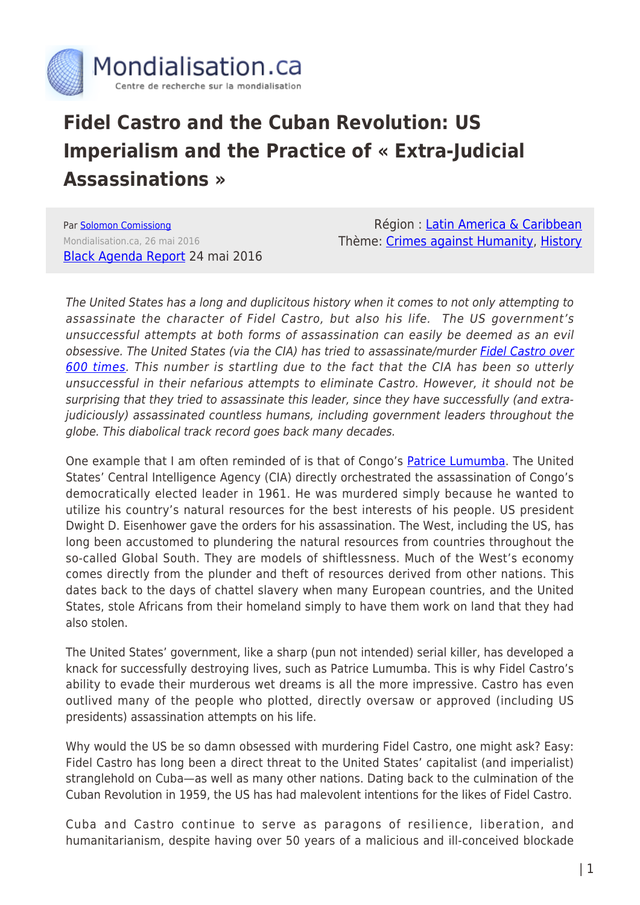

## **Fidel Castro and the Cuban Revolution: US Imperialism and the Practice of « Extra-Judicial Assassinations »**

Par [Solomon Comissiong](https://www.mondialisation.ca/author/solomon-comissiong) Mondialisation.ca, 26 mai 2016 [Black Agenda Report](http://www.blackagendareport.com/castro_cuba_us_imperialism) 24 mai 2016

Région : [Latin America & Caribbean](https://www.mondialisation.ca/region/latin-america-caribbean) Thème: [Crimes against Humanity](https://www.mondialisation.ca/theme/crimes-against-humanity), [History](https://www.mondialisation.ca/theme/culture-society-history)

The United States has a long and duplicitous history when it comes to not only attempting to assassinate the character of Fidel Castro, but also his life. The US government's unsuccessful attempts at both forms of assassination can easily be deemed as an evil obsessive. The United States (via the CIA) has tried to assassinate/murder [Fidel Castro over](https://en.wikipedia.org/wiki/638_Ways_to_Kill_Castro) [600 times](https://en.wikipedia.org/wiki/638_Ways_to_Kill_Castro). This number is startling due to the fact that the CIA has been so utterly unsuccessful in their nefarious attempts to eliminate Castro. However, it should not be surprising that they tried to assassinate this leader, since they have successfully (and extrajudiciously) assassinated countless humans, including government leaders throughout the globe. This diabolical track record goes back many decades.

One example that I am often reminded of is that of Congo's **[Patrice Lumumba](https://www.youtube.com/watch?v=UbIH_IQQQRY)**. The United States' Central Intelligence Agency (CIA) directly orchestrated the assassination of Congo's democratically elected leader in 1961. He was murdered simply because he wanted to utilize his country's natural resources for the best interests of his people. US president Dwight D. Eisenhower gave the orders for his assassination. The West, including the US, has long been accustomed to plundering the natural resources from countries throughout the so-called Global South. They are models of shiftlessness. Much of the West's economy comes directly from the plunder and theft of resources derived from other nations. This dates back to the days of chattel slavery when many European countries, and the United States, stole Africans from their homeland simply to have them work on land that they had also stolen.

The United States' government, like a sharp (pun not intended) serial killer, has developed a knack for successfully destroying lives, such as Patrice Lumumba. This is why Fidel Castro's ability to evade their murderous wet dreams is all the more impressive. Castro has even outlived many of the people who plotted, directly oversaw or approved (including US presidents) assassination attempts on his life.

Why would the US be so damn obsessed with murdering Fidel Castro, one might ask? Easy: Fidel Castro has long been a direct threat to the United States' capitalist (and imperialist) stranglehold on Cuba—as well as many other nations. Dating back to the culmination of the Cuban Revolution in 1959, the US has had malevolent intentions for the likes of Fidel Castro.

Cuba and Castro continue to serve as paragons of resilience, liberation, and humanitarianism, despite having over 50 years of a malicious and ill-conceived blockade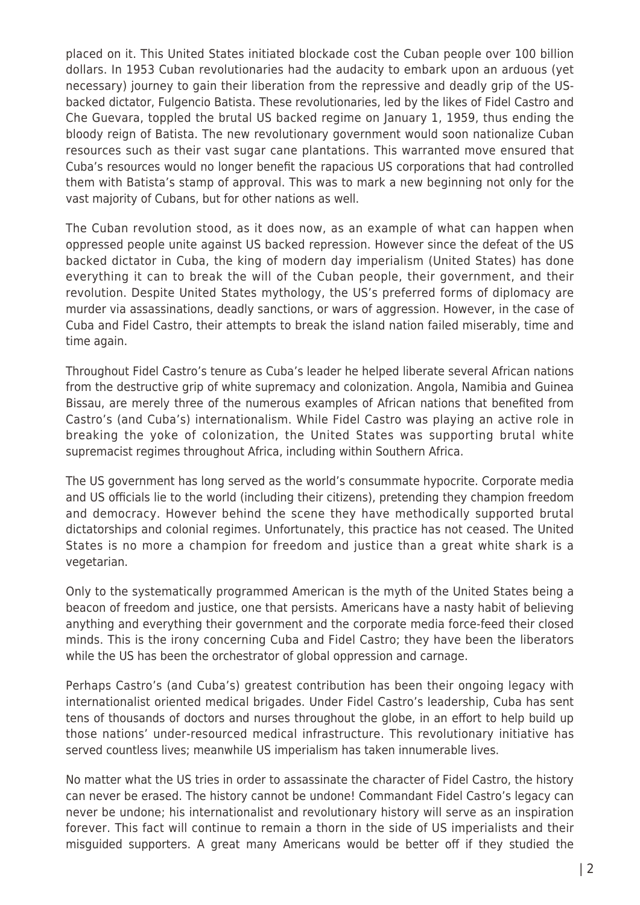placed on it. This United States initiated blockade cost the Cuban people over 100 billion dollars. In 1953 Cuban revolutionaries had the audacity to embark upon an arduous (yet necessary) journey to gain their liberation from the repressive and deadly grip of the USbacked dictator, Fulgencio Batista. These revolutionaries, led by the likes of Fidel Castro and Che Guevara, toppled the brutal US backed regime on January 1, 1959, thus ending the bloody reign of Batista. The new revolutionary government would soon nationalize Cuban resources such as their vast sugar cane plantations. This warranted move ensured that Cuba's resources would no longer benefit the rapacious US corporations that had controlled them with Batista's stamp of approval. This was to mark a new beginning not only for the vast majority of Cubans, but for other nations as well.

The Cuban revolution stood, as it does now, as an example of what can happen when oppressed people unite against US backed repression. However since the defeat of the US backed dictator in Cuba, the king of modern day imperialism (United States) has done everything it can to break the will of the Cuban people, their government, and their revolution. Despite United States mythology, the US's preferred forms of diplomacy are murder via assassinations, deadly sanctions, or wars of aggression. However, in the case of Cuba and Fidel Castro, their attempts to break the island nation failed miserably, time and time again.

Throughout Fidel Castro's tenure as Cuba's leader he helped liberate several African nations from the destructive grip of white supremacy and colonization. Angola, Namibia and Guinea Bissau, are merely three of the numerous examples of African nations that benefited from Castro's (and Cuba's) internationalism. While Fidel Castro was playing an active role in breaking the yoke of colonization, the United States was supporting brutal white supremacist regimes throughout Africa, including within Southern Africa.

The US government has long served as the world's consummate hypocrite. Corporate media and US officials lie to the world (including their citizens), pretending they champion freedom and democracy. However behind the scene they have methodically supported brutal dictatorships and colonial regimes. Unfortunately, this practice has not ceased. The United States is no more a champion for freedom and justice than a great white shark is a vegetarian.

Only to the systematically programmed American is the myth of the United States being a beacon of freedom and justice, one that persists. Americans have a nasty habit of believing anything and everything their government and the corporate media force-feed their closed minds. This is the irony concerning Cuba and Fidel Castro; they have been the liberators while the US has been the orchestrator of global oppression and carnage.

Perhaps Castro's (and Cuba's) greatest contribution has been their ongoing legacy with internationalist oriented medical brigades. Under Fidel Castro's leadership, Cuba has sent tens of thousands of doctors and nurses throughout the globe, in an effort to help build up those nations' under-resourced medical infrastructure. This revolutionary initiative has served countless lives; meanwhile US imperialism has taken innumerable lives.

No matter what the US tries in order to assassinate the character of Fidel Castro, the history can never be erased. The history cannot be undone! Commandant Fidel Castro's legacy can never be undone; his internationalist and revolutionary history will serve as an inspiration forever. This fact will continue to remain a thorn in the side of US imperialists and their misguided supporters. A great many Americans would be better off if they studied the